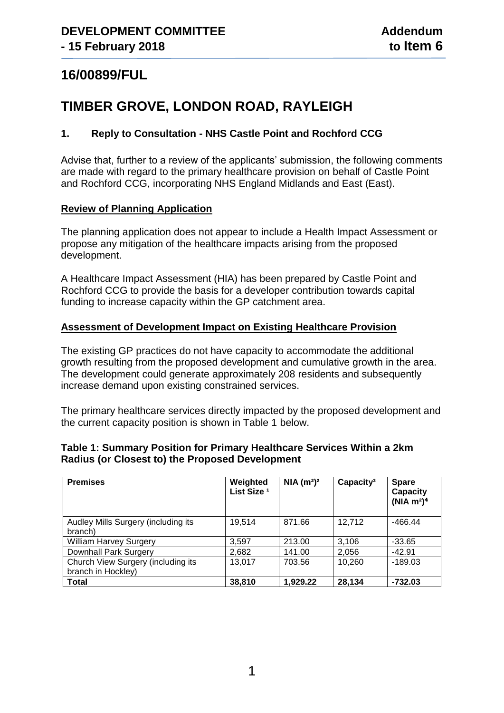# **16/00899/FUL**

# **TIMBER GROVE, LONDON ROAD, RAYLEIGH**

# **1. Reply to Consultation - NHS Castle Point and Rochford CCG**

Advise that, further to a review of the applicants' submission, the following comments are made with regard to the primary healthcare provision on behalf of Castle Point and Rochford CCG, incorporating NHS England Midlands and East (East).

## **Review of Planning Application**

The planning application does not appear to include a Health Impact Assessment or propose any mitigation of the healthcare impacts arising from the proposed development.

A Healthcare Impact Assessment (HIA) has been prepared by Castle Point and Rochford CCG to provide the basis for a developer contribution towards capital funding to increase capacity within the GP catchment area.

## **Assessment of Development Impact on Existing Healthcare Provision**

The existing GP practices do not have capacity to accommodate the additional growth resulting from the proposed development and cumulative growth in the area. The development could generate approximately 208 residents and subsequently increase demand upon existing constrained services.

The primary healthcare services directly impacted by the proposed development and the current capacity position is shown in Table 1 below.

| Table 1: Summary Position for Primary Healthcare Services Within a 2km |  |
|------------------------------------------------------------------------|--|
| <b>Radius (or Closest to) the Proposed Development</b>                 |  |

| <b>Premises</b>                                          | Weighted<br>List Size <sup>1</sup> | NIA(m <sup>2</sup> ) <sup>2</sup> | Capacity <sup>3</sup> | <b>Spare</b><br>Capacity<br>(NIA $m^2$ ) <sup>4</sup> |
|----------------------------------------------------------|------------------------------------|-----------------------------------|-----------------------|-------------------------------------------------------|
| Audley Mills Surgery (including its<br>branch)           | 19,514                             | 871.66                            | 12,712                | $-466.44$                                             |
| <b>William Harvey Surgery</b>                            | 3.597                              | 213.00                            | 3,106                 | $-33.65$                                              |
| Downhall Park Surgery                                    | 2,682                              | 141.00                            | 2,056                 | $-42.91$                                              |
| Church View Surgery (including its<br>branch in Hockley) | 13,017                             | 703.56                            | 10,260                | $-189.03$                                             |
| <b>Total</b>                                             | 38,810                             | 1,929.22                          | 28,134                | $-732.03$                                             |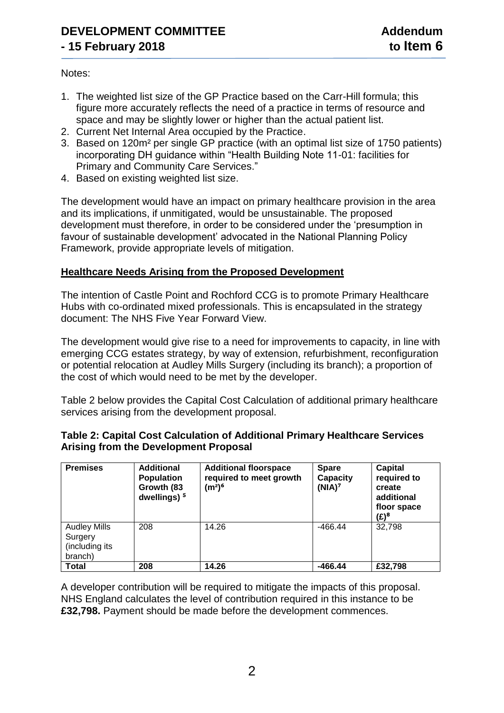Notes:

- 1. The weighted list size of the GP Practice based on the Carr-Hill formula; this figure more accurately reflects the need of a practice in terms of resource and space and may be slightly lower or higher than the actual patient list.
- 2. Current Net Internal Area occupied by the Practice.
- 3. Based on 120m² per single GP practice (with an optimal list size of 1750 patients) incorporating DH guidance within "Health Building Note 11-01: facilities for Primary and Community Care Services."
- 4. Based on existing weighted list size.

The development would have an impact on primary healthcare provision in the area and its implications, if unmitigated, would be unsustainable. The proposed development must therefore, in order to be considered under the 'presumption in favour of sustainable development' advocated in the National Planning Policy Framework, provide appropriate levels of mitigation.

## **Healthcare Needs Arising from the Proposed Development**

The intention of Castle Point and Rochford CCG is to promote Primary Healthcare Hubs with co-ordinated mixed professionals. This is encapsulated in the strategy document: The NHS Five Year Forward View.

The development would give rise to a need for improvements to capacity, in line with emerging CCG estates strategy, by way of extension, refurbishment, reconfiguration or potential relocation at Audley Mills Surgery (including its branch); a proportion of the cost of which would need to be met by the developer.

Table 2 below provides the Capital Cost Calculation of additional primary healthcare services arising from the development proposal.

| <b>Premises</b>                                             | <b>Additional</b><br><b>Population</b><br>Growth (83<br>dwellings) <sup>5</sup> | <b>Additional floorspace</b><br>required to meet growth<br>(m²) <sup>6</sup> | <b>Spare</b><br><b>Capacity</b><br>(NIA) <sup>7</sup> | <b>Capital</b><br>required to<br>create<br>additional<br>floor space<br>$(E)^8$ |
|-------------------------------------------------------------|---------------------------------------------------------------------------------|------------------------------------------------------------------------------|-------------------------------------------------------|---------------------------------------------------------------------------------|
| <b>Audley Mills</b><br>Surgery<br>(including its<br>branch) | 208                                                                             | 14.26                                                                        | $-466.44$                                             | 32,798                                                                          |
| <b>Total</b>                                                | 208                                                                             | 14.26                                                                        | $-466.44$                                             | £32.798                                                                         |

## **Table 2: Capital Cost Calculation of Additional Primary Healthcare Services Arising from the Development Proposal**

A developer contribution will be required to mitigate the impacts of this proposal. NHS England calculates the level of contribution required in this instance to be **£32,798.** Payment should be made before the development commences.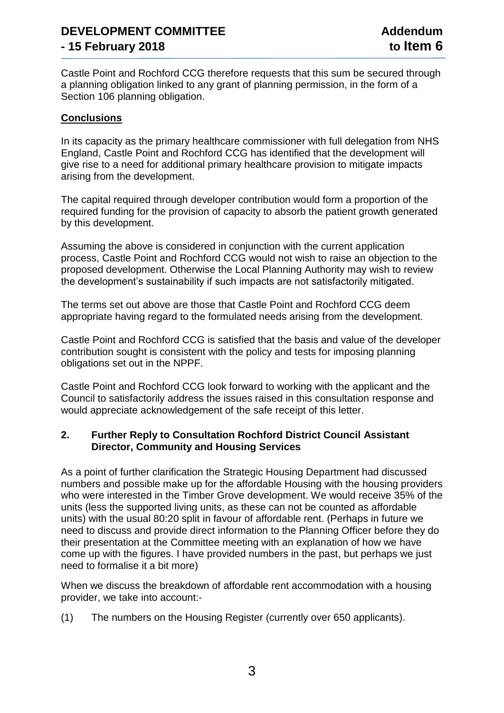Castle Point and Rochford CCG therefore requests that this sum be secured through a planning obligation linked to any grant of planning permission, in the form of a Section 106 planning obligation.

## **Conclusions**

In its capacity as the primary healthcare commissioner with full delegation from NHS England, Castle Point and Rochford CCG has identified that the development will give rise to a need for additional primary healthcare provision to mitigate impacts arising from the development.

The capital required through developer contribution would form a proportion of the required funding for the provision of capacity to absorb the patient growth generated by this development.

Assuming the above is considered in conjunction with the current application process, Castle Point and Rochford CCG would not wish to raise an objection to the proposed development. Otherwise the Local Planning Authority may wish to review the development's sustainability if such impacts are not satisfactorily mitigated.

The terms set out above are those that Castle Point and Rochford CCG deem appropriate having regard to the formulated needs arising from the development.

Castle Point and Rochford CCG is satisfied that the basis and value of the developer contribution sought is consistent with the policy and tests for imposing planning obligations set out in the NPPF.

Castle Point and Rochford CCG look forward to working with the applicant and the Council to satisfactorily address the issues raised in this consultation response and would appreciate acknowledgement of the safe receipt of this letter.

## **2. Further Reply to Consultation Rochford District Council Assistant Director, Community and Housing Services**

As a point of further clarification the Strategic Housing Department had discussed numbers and possible make up for the affordable Housing with the housing providers who were interested in the Timber Grove development. We would receive 35% of the units (less the supported living units, as these can not be counted as affordable units) with the usual 80:20 split in favour of affordable rent. (Perhaps in future we need to discuss and provide direct information to the Planning Officer before they do their presentation at the Committee meeting with an explanation of how we have come up with the figures. I have provided numbers in the past, but perhaps we just need to formalise it a bit more)

When we discuss the breakdown of affordable rent accommodation with a housing provider, we take into account:-

(1) The numbers on the Housing Register (currently over 650 applicants).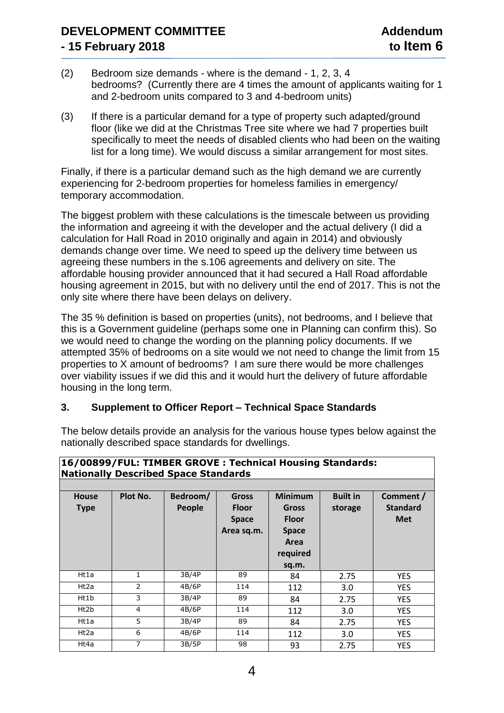- (2) Bedroom size demands where is the demand 1, 2, 3, 4 bedrooms? (Currently there are 4 times the amount of applicants waiting for 1 and 2-bedroom units compared to 3 and 4-bedroom units)
- (3) If there is a particular demand for a type of property such adapted/ground floor (like we did at the Christmas Tree site where we had 7 properties built specifically to meet the needs of disabled clients who had been on the waiting list for a long time). We would discuss a similar arrangement for most sites.

Finally, if there is a particular demand such as the high demand we are currently experiencing for 2-bedroom properties for homeless families in emergency/ temporary accommodation.

The biggest problem with these calculations is the timescale between us providing the information and agreeing it with the developer and the actual delivery (I did a calculation for Hall Road in 2010 originally and again in 2014) and obviously demands change over time. We need to speed up the delivery time between us agreeing these numbers in the s.106 agreements and delivery on site. The affordable housing provider announced that it had secured a Hall Road affordable housing agreement in 2015, but with no delivery until the end of 2017. This is not the only site where there have been delays on delivery.

The 35 % definition is based on properties (units), not bedrooms, and I believe that this is a Government guideline (perhaps some one in Planning can confirm this). So we would need to change the wording on the planning policy documents. If we attempted 35% of bedrooms on a site would we not need to change the limit from 15 properties to X amount of bedrooms? I am sure there would be more challenges over viability issues if we did this and it would hurt the delivery of future affordable housing in the long term.

## **3. Supplement to Officer Report – Technical Space Standards**

The below details provide an analysis for the various house types below against the nationally described space standards for dwellings.

| 16/00899/FUL: TIMBER GROVE: Technical Housing Standards:<br><b>Nationally Described Space Standards</b> |                |                    |                                                            |                                                                                             |                            |                                            |  |  |  |
|---------------------------------------------------------------------------------------------------------|----------------|--------------------|------------------------------------------------------------|---------------------------------------------------------------------------------------------|----------------------------|--------------------------------------------|--|--|--|
| <b>House</b><br><b>Type</b>                                                                             | Plot No.       | Bedroom/<br>People | <b>Gross</b><br><b>Floor</b><br><b>Space</b><br>Area sq.m. | <b>Minimum</b><br><b>Gross</b><br><b>Floor</b><br><b>Space</b><br>Area<br>required<br>sq.m. | <b>Built in</b><br>storage | Comment /<br><b>Standard</b><br><b>Met</b> |  |  |  |
| Ht1a                                                                                                    | 1              | 3B/4P              | 89                                                         | 84                                                                                          | 2.75                       | <b>YES</b>                                 |  |  |  |
| Ht2a                                                                                                    | 2              | 4B/6P              | 114                                                        | 112                                                                                         | 3.0                        | <b>YES</b>                                 |  |  |  |
| Ht1b                                                                                                    | 3              | 3B/4P              | 89                                                         | 84                                                                                          | 2.75                       | <b>YES</b>                                 |  |  |  |
| Ht2b                                                                                                    | 4              | 4B/6P              | 114                                                        | 112                                                                                         | 3.0                        | <b>YES</b>                                 |  |  |  |
| Ht1a                                                                                                    | 5              | 3B/4P              | 89                                                         | 84                                                                                          | 2.75                       | <b>YES</b>                                 |  |  |  |
| Ht2a                                                                                                    | 6              | 4B/6P              | 114                                                        | 112                                                                                         | 3.0                        | <b>YES</b>                                 |  |  |  |
| Ht4a                                                                                                    | $\overline{7}$ | 3B/5P              | 98                                                         | 93                                                                                          | 2.75                       | <b>YES</b>                                 |  |  |  |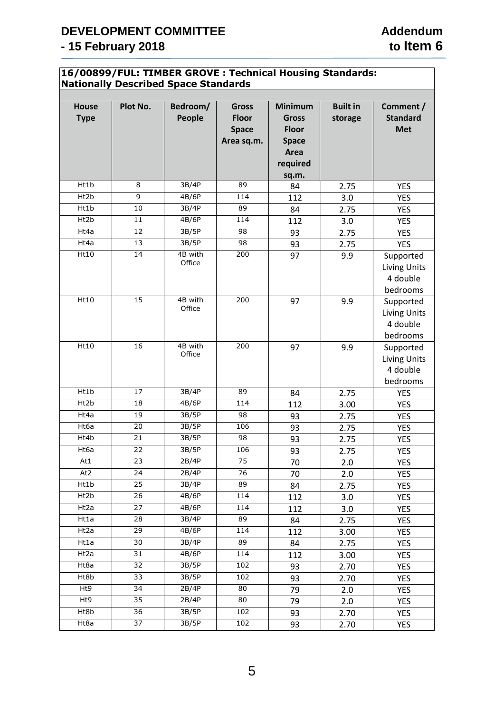### **16/00899/FUL: TIMBER GROVE : Technical Housing Standards: Nationally Described Space Standards**

| <b>House</b><br><b>Type</b> | Plot No.        | Bedroom/<br>People | <b>Gross</b><br><b>Floor</b><br><b>Space</b><br>Area sq.m. | <b>Minimum</b><br><b>Gross</b><br><b>Floor</b><br><b>Space</b> | <b>Built in</b><br>storage | Comment /<br><b>Standard</b><br><b>Met</b>               |  |  |
|-----------------------------|-----------------|--------------------|------------------------------------------------------------|----------------------------------------------------------------|----------------------------|----------------------------------------------------------|--|--|
|                             |                 |                    |                                                            | Area                                                           |                            |                                                          |  |  |
|                             |                 |                    |                                                            | required                                                       |                            |                                                          |  |  |
|                             |                 |                    |                                                            | sq.m.                                                          |                            |                                                          |  |  |
| Ht1b                        | 8               | 3B/4P              | 89                                                         | 84                                                             | 2.75                       | <b>YES</b>                                               |  |  |
| Ht2b                        | 9               | 4B/6P              | 114                                                        | 112                                                            | 3.0                        | <b>YES</b>                                               |  |  |
| Ht1b                        | 10              | 3B/4P              | 89                                                         | 84                                                             | 2.75                       | <b>YES</b>                                               |  |  |
| Ht2b                        | 11              | 4B/6P              | 114                                                        | 112                                                            | 3.0                        | <b>YES</b>                                               |  |  |
| Ht4a                        | 12              | 3B/5P              | 98                                                         | 93                                                             | 2.75                       | <b>YES</b>                                               |  |  |
| Ht4a                        | 13              | 3B/5P              | 98                                                         | 93                                                             | 2.75                       | <b>YES</b>                                               |  |  |
| Ht10                        | 14              | 4B with<br>Office  | 200                                                        | 97                                                             | 9.9                        | Supported<br><b>Living Units</b><br>4 double<br>bedrooms |  |  |
| Ht10                        | 15              | 4B with<br>Office  | 200                                                        | 97                                                             | 9.9                        | Supported<br><b>Living Units</b><br>4 double<br>bedrooms |  |  |
| Ht10                        | 16              | 4B with<br>Office  | 200                                                        | 97                                                             | 9.9                        | Supported<br><b>Living Units</b><br>4 double<br>bedrooms |  |  |
| Ht1b                        | 17              | 3B/4P              | 89                                                         | 84                                                             | 2.75                       | <b>YES</b>                                               |  |  |
| Ht2b                        | 18              | 4B/6P              | 114                                                        | 112                                                            | 3.00                       | <b>YES</b>                                               |  |  |
| Ht4a                        | 19              | 3B/5P              | 98                                                         | 93                                                             | 2.75                       | <b>YES</b>                                               |  |  |
| Ht6a                        | $\overline{20}$ | 3B/5P              | 106                                                        | 93                                                             | 2.75                       | <b>YES</b>                                               |  |  |
| Ht4b                        | 21              | 3B/5P              | 98                                                         | 93                                                             | 2.75                       | <b>YES</b>                                               |  |  |
| Ht6a                        | 22              | 3B/5P              | 106                                                        | 93                                                             | 2.75                       | <b>YES</b>                                               |  |  |
| At1                         | 23              | 2B/4P              | 75                                                         | 70                                                             | 2.0                        | <b>YES</b>                                               |  |  |
| At <sub>2</sub>             | 24              | 2B/4P              | 76                                                         | 70                                                             | 2.0                        | <b>YES</b>                                               |  |  |
| Ht1b<br>Ht2b                | 25              | 3B/4P<br>4B/6P     | 89                                                         | 84                                                             | 2.75                       | <b>YES</b>                                               |  |  |
|                             | 26<br>27        | 4B/6P              | 114<br>114                                                 | 112                                                            | 3.0                        | YES                                                      |  |  |
| Ht2a<br>Ht1a                | 28              | 3B/4P              | 89                                                         | 112                                                            | 3.0                        | <b>YES</b>                                               |  |  |
| Ht2a                        | 29              | 4B/6P              | 114                                                        | 84                                                             | 2.75                       | <b>YES</b>                                               |  |  |
| Ht1a                        | 30              | 3B/4P              | 89                                                         | 112                                                            | 3.00                       | YES                                                      |  |  |
| Ht2a                        | 31              | 4B/6P              | 114                                                        | 84                                                             | 2.75                       | <b>YES</b>                                               |  |  |
| Ht8a                        | 32              | 3B/5P              | 102                                                        | 112                                                            | 3.00                       | <b>YES</b>                                               |  |  |
| Ht8b                        | 33              | 3B/5P              | 102                                                        | 93<br>93                                                       | 2.70<br>2.70               | <b>YES</b><br>YES                                        |  |  |
| Ht9                         | 34              | 2B/4P              | 80                                                         | 79                                                             | 2.0                        | <b>YES</b>                                               |  |  |
| Ht9                         | 35              | 2B/4P              | 80                                                         | 79                                                             | 2.0                        | <b>YES</b>                                               |  |  |
| Ht8b                        | 36              | 3B/5P              | 102                                                        | 93                                                             | 2.70                       | <b>YES</b>                                               |  |  |
| Ht8a                        | 37              | 3B/5P              | 102                                                        | 93                                                             | 2.70                       | <b>YES</b>                                               |  |  |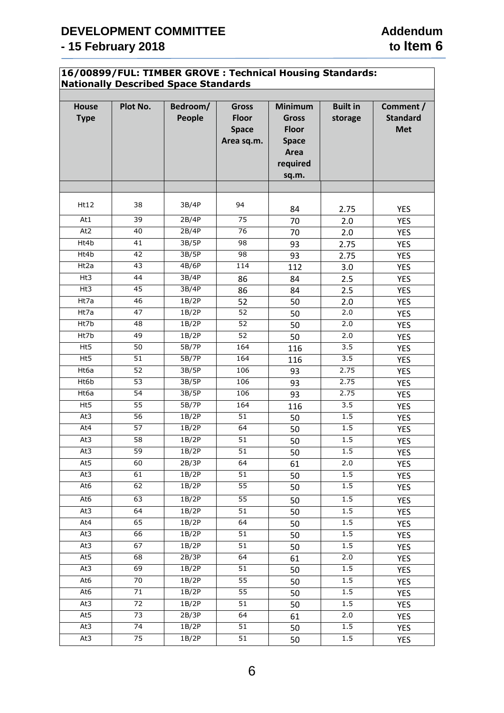### **16/00899/FUL: TIMBER GROVE : Technical Housing Standards: Nationally Described Space Standards**

| <b>House</b><br><b>Type</b> | Plot No.        | Bedroom/<br>People | <b>Gross</b><br><b>Floor</b><br><b>Space</b><br>Area sq.m. | <b>Minimum</b><br><b>Gross</b><br><b>Floor</b><br><b>Space</b><br>Area<br>required<br>sq.m. | <b>Built in</b><br>storage | Comment /<br><b>Standard</b><br><b>Met</b> |
|-----------------------------|-----------------|--------------------|------------------------------------------------------------|---------------------------------------------------------------------------------------------|----------------------------|--------------------------------------------|
|                             |                 |                    |                                                            |                                                                                             |                            |                                            |
| Ht12                        | 38              | 3B/4P              | 94                                                         | 84                                                                                          | 2.75                       | <b>YES</b>                                 |
| At1                         | 39              | 2B/4P              | 75                                                         | 70                                                                                          | 2.0                        | <b>YES</b>                                 |
| At <sub>2</sub>             | 40              | 2B/4P              | 76                                                         | 70                                                                                          | 2.0                        | <b>YES</b>                                 |
| Ht4b                        | 41              | 3B/5P              | 98                                                         | 93                                                                                          | 2.75                       | <b>YES</b>                                 |
| Ht4b                        | 42              | 3B/5P              | 98                                                         | 93                                                                                          | 2.75                       | <b>YES</b>                                 |
| Ht2a                        | 43              | 4B/6P              | 114                                                        | 112                                                                                         | 3.0                        | <b>YES</b>                                 |
| Ht3                         | 44              | 3B/4P              | 86                                                         | 84                                                                                          | 2.5                        | <b>YES</b>                                 |
| Ht3                         | 45              | 3B/4P              | 86                                                         | 84                                                                                          | 2.5                        | <b>YES</b>                                 |
| Ht7a                        | 46              | 1B/2P              | 52                                                         | 50                                                                                          | 2.0                        | <b>YES</b>                                 |
| Ht7a                        | 47              | 1B/2P              | 52                                                         | 50                                                                                          | 2.0                        | <b>YES</b>                                 |
| Ht7b                        | 48              | 1B/2P              | 52                                                         | 50                                                                                          | 2.0                        | <b>YES</b>                                 |
| Ht7b                        | 49              | 1B/2P              | $\overline{52}$                                            | 50                                                                                          | 2.0                        | <b>YES</b>                                 |
| Ht5                         | 50              | 5B/7P              | 164                                                        | 116                                                                                         | 3.5                        | <b>YES</b>                                 |
| Ht5                         | 51              | 5B/7P              | 164                                                        | 116                                                                                         | 3.5                        | <b>YES</b>                                 |
| Ht6a                        | $\overline{52}$ | 3B/5P              | 106                                                        | 93                                                                                          | 2.75                       | <b>YES</b>                                 |
| Ht6b                        | 53              | 3B/5P              | 106                                                        | 93                                                                                          | 2.75                       | <b>YES</b>                                 |
| Ht6a                        | 54              | 3B/5P              | 106                                                        | 93                                                                                          | 2.75                       | <b>YES</b>                                 |
| Ht5                         | 55              | 5B/7P              | 164                                                        | 116                                                                                         | 3.5                        | <b>YES</b>                                 |
| At3                         | 56              | 1B/2P              | 51                                                         | 50                                                                                          | 1.5                        | YES                                        |
| At4                         | 57              | 1B/2P              | 64                                                         | 50                                                                                          | 1.5                        | <b>YES</b>                                 |
| At3                         | 58              | 1B/2P              | 51                                                         | 50                                                                                          | 1.5                        | <b>YES</b>                                 |
| At3                         | 59              | 1B/2P              | 51                                                         | 50                                                                                          | 1.5                        | <b>YES</b>                                 |
| At5                         | 60              | 2B/3P              | 64                                                         | 61                                                                                          | 2.0                        | YES                                        |
| At3                         | 61              | 1B/2P              | 51                                                         | 50                                                                                          | 1.5                        | YES                                        |
| At6                         | 62              | 1B/2P              | 55                                                         | 50                                                                                          | 1.5                        | YES                                        |
| At6                         | 63              | 1B/2P              | 55                                                         | 50                                                                                          | $1.5\,$                    | <b>YES</b>                                 |
| At3                         | 64              | 1B/2P              | 51                                                         | 50                                                                                          | 1.5                        | <b>YES</b>                                 |
| At4                         | 65              | 1B/2P              | 64                                                         | 50                                                                                          | 1.5                        | <b>YES</b>                                 |
| At3                         | 66              | 1B/2P              | 51                                                         | 50                                                                                          | 1.5                        | <b>YES</b>                                 |
| At3                         | 67              | 1B/2P              | 51                                                         | 50                                                                                          | 1.5                        | YES                                        |
| At5                         | 68              | 2B/3P              | 64                                                         | 61                                                                                          | 2.0                        | <b>YES</b>                                 |
| At3                         | 69              | 1B/2P              | 51                                                         | 50                                                                                          | 1.5                        | YES                                        |
| At6                         | $70\,$          | 1B/2P              | 55                                                         | 50                                                                                          | 1.5                        | <b>YES</b>                                 |
| At6                         | 71              | 1B/2P              | 55                                                         | 50                                                                                          | 1.5                        | <b>YES</b>                                 |
| At3                         | $\overline{72}$ | 1B/2P              | 51                                                         | 50                                                                                          | 1.5                        | <b>YES</b>                                 |
| At5                         | 73              | 2B/3P              | 64                                                         | 61                                                                                          | 2.0                        | <b>YES</b>                                 |
| At3                         | 74              | 1B/2P              | 51                                                         | 50                                                                                          | 1.5                        | YES                                        |
| At3                         | 75              | 1B/2P              | 51                                                         | 50                                                                                          | $1.5\,$                    | <b>YES</b>                                 |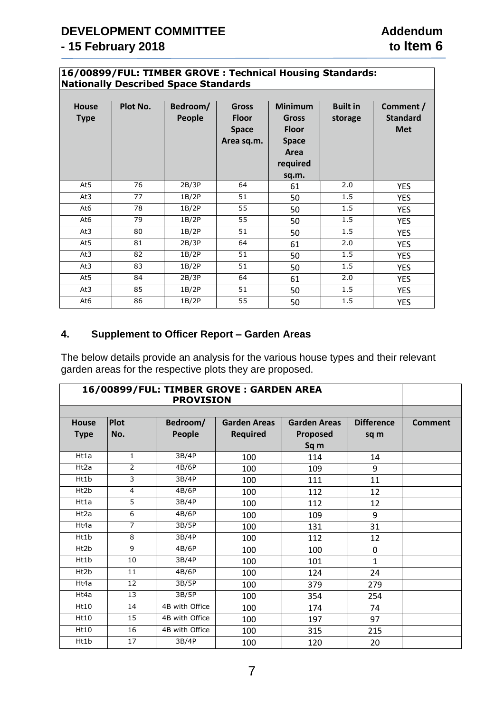### **16/00899/FUL: TIMBER GROVE : Technical Housing Standards: Nationally Described Space Standards**

|                             |          | $ -$               |                                                            |                                                                                             |                            |                                            |
|-----------------------------|----------|--------------------|------------------------------------------------------------|---------------------------------------------------------------------------------------------|----------------------------|--------------------------------------------|
| <b>House</b><br><b>Type</b> | Plot No. | Bedroom/<br>People | <b>Gross</b><br><b>Floor</b><br><b>Space</b><br>Area sq.m. | <b>Minimum</b><br><b>Gross</b><br><b>Floor</b><br><b>Space</b><br>Area<br>required<br>sq.m. | <b>Built in</b><br>storage | Comment /<br><b>Standard</b><br><b>Met</b> |
| At5                         | 76       | 2B/3P              | 64                                                         | 61                                                                                          | 2.0                        | <b>YES</b>                                 |
| At3                         | 77       | 1B/2P              | 51                                                         | 50                                                                                          | 1.5                        | <b>YES</b>                                 |
| At6                         | 78       | 1B/2P              | 55                                                         | 50                                                                                          | 1.5                        | <b>YES</b>                                 |
| At6                         | 79       | 1B/2P              | 55                                                         | 50                                                                                          | 1.5                        | <b>YES</b>                                 |
| At3                         | 80       | 1B/2P              | 51                                                         | 50                                                                                          | 1.5                        | <b>YES</b>                                 |
| At5                         | 81       | 2B/3P              | 64                                                         | 61                                                                                          | 2.0                        | <b>YES</b>                                 |
| At3                         | 82       | 1B/2P              | 51                                                         | 50                                                                                          | 1.5                        | <b>YES</b>                                 |
| At3                         | 83       | 1B/2P              | 51                                                         | 50                                                                                          | 1.5                        | <b>YES</b>                                 |
| At5                         | 84       | 2B/3P              | 64                                                         | 61                                                                                          | 2.0                        | <b>YES</b>                                 |
| At3                         | 85       | 1B/2P              | 51                                                         | 50                                                                                          | 1.5                        | <b>YES</b>                                 |
| At6                         | 86       | 1B/2P              | 55                                                         | 50                                                                                          | 1.5                        | <b>YES</b>                                 |

## **4. Supplement to Officer Report – Garden Areas**

The below details provide an analysis for the various house types and their relevant garden areas for the respective plots they are proposed.

| 16/00899/FUL: TIMBER GROVE: GARDEN AREA<br><b>PROVISION</b> |                |                    |                                        |                                         |                           |                |  |
|-------------------------------------------------------------|----------------|--------------------|----------------------------------------|-----------------------------------------|---------------------------|----------------|--|
| <b>House</b><br><b>Type</b>                                 | Plot<br>No.    | Bedroom/<br>People | <b>Garden Areas</b><br><b>Required</b> | <b>Garden Areas</b><br>Proposed<br>Sq m | <b>Difference</b><br>sq m | <b>Comment</b> |  |
| Ht1a                                                        | $\mathbf{1}$   | 3B/4P              | 100                                    | 114                                     | 14                        |                |  |
| Ht2a                                                        | $\overline{2}$ | 4B/6P              | 100                                    | 109                                     | 9                         |                |  |
| Ht1b                                                        | 3              | 3B/4P              | 100                                    | 111                                     | 11                        |                |  |
| Ht2b                                                        | $\overline{4}$ | 4B/6P              | 100                                    | 112                                     | 12                        |                |  |
| Ht1a                                                        | 5              | 3B/4P              | 100                                    | 112                                     | 12                        |                |  |
| Ht2a                                                        | 6              | 4B/6P              | 100                                    | 109                                     | 9                         |                |  |
| Ht4a                                                        | $\overline{7}$ | 3B/5P              | 100                                    | 131                                     | 31                        |                |  |
| Ht1b                                                        | 8              | 3B/4P              | 100                                    | 112                                     | 12                        |                |  |
| Ht2b                                                        | 9              | 4B/6P              | 100                                    | 100                                     | 0                         |                |  |
| Ht1b                                                        | 10             | 3B/4P              | 100                                    | 101                                     | $\mathbf{1}$              |                |  |
| Ht2b                                                        | 11             | 4B/6P              | 100                                    | 124                                     | 24                        |                |  |
| Ht4a                                                        | 12             | 3B/5P              | 100                                    | 379                                     | 279                       |                |  |
| Ht4a                                                        | 13             | 3B/5P              | 100                                    | 354                                     | 254                       |                |  |
| Ht10                                                        | 14             | 4B with Office     | 100                                    | 174                                     | 74                        |                |  |
| Ht10                                                        | 15             | 4B with Office     | 100                                    | 197                                     | 97                        |                |  |
| Ht10                                                        | 16             | 4B with Office     | 100                                    | 315                                     | 215                       |                |  |
| Ht1b                                                        | 17             | 3B/4P              | 100                                    | 120                                     | 20                        |                |  |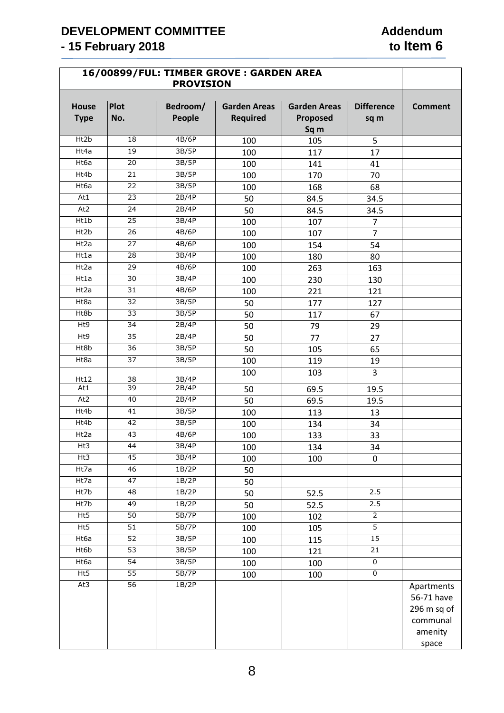# **DEVELOPMENT COMMITTEE**<br>
- 15 February 2018<br>
- 15 February 2018 **- 15 February 2018**

|                             | 16/00899/FUL: TIMBER GROVE: GARDEN AREA<br><b>PROVISION</b> |                    |                                        |                                         |                           |                                                                |  |  |
|-----------------------------|-------------------------------------------------------------|--------------------|----------------------------------------|-----------------------------------------|---------------------------|----------------------------------------------------------------|--|--|
| <b>House</b><br><b>Type</b> | <b>Plot</b><br>No.                                          | Bedroom/<br>People | <b>Garden Areas</b><br><b>Required</b> | <b>Garden Areas</b><br>Proposed<br>Sq m | <b>Difference</b><br>sq m | <b>Comment</b>                                                 |  |  |
| Ht2b                        | 18                                                          | 4B/6P              | 100                                    | 105                                     | 5                         |                                                                |  |  |
| Ht4a                        | 19                                                          | 3B/5P              | 100                                    | 117                                     | 17                        |                                                                |  |  |
| Ht6a                        | 20                                                          | 3B/5P              | 100                                    | 141                                     | 41                        |                                                                |  |  |
| Ht4b                        | 21                                                          | 3B/5P              | 100                                    | 170                                     | 70                        |                                                                |  |  |
| Ht6a                        | 22                                                          | 3B/5P              | 100                                    | 168                                     | 68                        |                                                                |  |  |
| At1                         | 23                                                          | 2B/4P              | 50                                     | 84.5                                    | 34.5                      |                                                                |  |  |
| At <sub>2</sub>             | 24                                                          | 2B/4P              | 50                                     | 84.5                                    | 34.5                      |                                                                |  |  |
| Ht1b                        | $\overline{25}$                                             | 3B/4P              | 100                                    | 107                                     | $\overline{7}$            |                                                                |  |  |
| Ht2b                        | 26                                                          | 4B/6P              | 100                                    | 107                                     | $\overline{7}$            |                                                                |  |  |
| Ht2a                        | $\overline{27}$                                             | 4B/6P              | 100                                    | 154                                     | 54                        |                                                                |  |  |
| Ht1a                        | 28                                                          | 3B/4P              | 100                                    | 180                                     | 80                        |                                                                |  |  |
| Ht2a                        | $\overline{29}$                                             | 4B/6P              | 100                                    | 263                                     | 163                       |                                                                |  |  |
| Ht1a                        | 30                                                          | 3B/4P              | 100                                    | 230                                     | 130                       |                                                                |  |  |
| Ht2a                        | $\overline{31}$                                             | 4B/6P              | 100                                    | 221                                     | 121                       |                                                                |  |  |
| Ht8a                        | 32                                                          | 3B/5P              | 50                                     | 177                                     | 127                       |                                                                |  |  |
| Ht8b                        | 33                                                          | 3B/5P              | 50                                     | 117                                     | 67                        |                                                                |  |  |
| Ht9                         | 34                                                          | 2B/4P              | 50                                     | 79                                      | 29                        |                                                                |  |  |
| Ht9                         | $\overline{35}$                                             | 2B/4P              | 50                                     | 77                                      | 27                        |                                                                |  |  |
| Ht8b                        | 36                                                          | 3B/5P              | 50                                     | 105                                     | 65                        |                                                                |  |  |
| Ht8a                        | $\overline{37}$                                             | 3B/5P              | 100                                    | 119                                     | 19                        |                                                                |  |  |
| Ht12                        | 38                                                          | 3B/4P              | 100                                    | 103                                     | $\overline{3}$            |                                                                |  |  |
| At1                         | $\overline{39}$                                             | 2B/4P              | 50                                     | 69.5                                    | 19.5                      |                                                                |  |  |
| At2                         | 40                                                          | 2B/4P              | 50                                     | 69.5                                    | 19.5                      |                                                                |  |  |
| Ht4b                        | 41                                                          | 3B/5P              | 100                                    | 113                                     | 13                        |                                                                |  |  |
| Ht4b                        | 42                                                          | 3B/5P              | 100                                    | 134                                     | 34                        |                                                                |  |  |
| Ht2a                        | 43                                                          | 4B/6P              | 100                                    | 133                                     | 33                        |                                                                |  |  |
| Ht3                         | 44                                                          | 3B/4P              | 100                                    | 134                                     | 34                        |                                                                |  |  |
| Ht3                         | 45                                                          | 3B/4P              | 100                                    | 100                                     | 0                         |                                                                |  |  |
| Ht7a                        | 46                                                          | 1B/2P              | 50                                     |                                         |                           |                                                                |  |  |
| Ht7a                        | 47                                                          | 1B/2P              | 50                                     |                                         |                           |                                                                |  |  |
| Ht7b                        | 48                                                          | 1B/2P              | 50                                     | 52.5                                    | 2.5                       |                                                                |  |  |
| Ht7b                        | 49                                                          | 1B/2P              | 50                                     | 52.5                                    | 2.5                       |                                                                |  |  |
| Ht5                         | 50                                                          | 5B/7P              | 100                                    | 102                                     | $\overline{2}$            |                                                                |  |  |
| Ht5                         | 51                                                          | 5B/7P              | 100                                    | 105                                     | $\overline{5}$            |                                                                |  |  |
| Ht6a                        | 52                                                          | 3B/5P              | 100                                    | 115                                     | 15                        |                                                                |  |  |
| Ht6b                        | $\overline{53}$                                             | 3B/5P              | 100                                    | 121                                     | 21                        |                                                                |  |  |
| Ht6a                        | 54                                                          | 3B/5P              | 100                                    | 100                                     | $\pmb{0}$                 |                                                                |  |  |
| Ht5                         | $\overline{55}$                                             | 5B/7P              | 100                                    | 100                                     | $\overline{0}$            |                                                                |  |  |
| At3                         | $\overline{56}$                                             | 1B/2P              |                                        |                                         |                           | Apartments<br>56-71 have<br>296 m sq of<br>communal<br>amenity |  |  |
|                             |                                                             |                    |                                        |                                         |                           | space                                                          |  |  |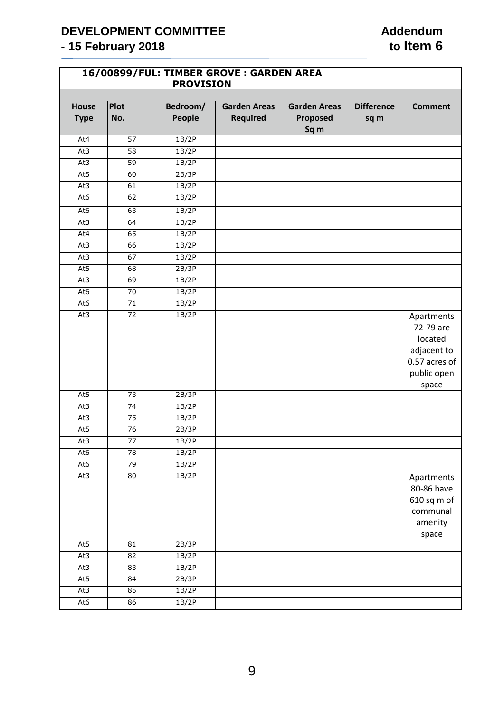# **DEVELOPMENT COMMITTEE**<br>
- 15 February 2018<br>
- 15 February 2018 **- 15 February 2018**

| 16/00899/FUL: TIMBER GROVE: GARDEN AREA |                 |                    |                                        |                                         |                           |                                                                                            |
|-----------------------------------------|-----------------|--------------------|----------------------------------------|-----------------------------------------|---------------------------|--------------------------------------------------------------------------------------------|
| House<br><b>Type</b>                    | Plot<br>No.     | Bedroom/<br>People | <b>Garden Areas</b><br><b>Required</b> | <b>Garden Areas</b><br>Proposed<br>Sq m | <b>Difference</b><br>sq m | <b>Comment</b>                                                                             |
| At4                                     | 57              | 1B/2P              |                                        |                                         |                           |                                                                                            |
| At3                                     | 58              | 1B/2P              |                                        |                                         |                           |                                                                                            |
| At3                                     | 59              | 1B/2P              |                                        |                                         |                           |                                                                                            |
| At5                                     | 60              | 2B/3P              |                                        |                                         |                           |                                                                                            |
| At3                                     | 61              | 1B/2P              |                                        |                                         |                           |                                                                                            |
| At6                                     | 62              | 1B/2P              |                                        |                                         |                           |                                                                                            |
| At6                                     | 63              | 1B/2P              |                                        |                                         |                           |                                                                                            |
| At3                                     | 64              | 1B/2P              |                                        |                                         |                           |                                                                                            |
| At4                                     | 65              | 1B/2P              |                                        |                                         |                           |                                                                                            |
| At3                                     | 66              | 1B/2P              |                                        |                                         |                           |                                                                                            |
| At3                                     | 67              | 1B/2P              |                                        |                                         |                           |                                                                                            |
| At5                                     | 68              | 2B/3P              |                                        |                                         |                           |                                                                                            |
| At3                                     | 69              | 1B/2P              |                                        |                                         |                           |                                                                                            |
| At6                                     | $\overline{70}$ | 1B/2P              |                                        |                                         |                           |                                                                                            |
| At6                                     | $\overline{71}$ | 1B/2P              |                                        |                                         |                           |                                                                                            |
| At3                                     | $\overline{72}$ | 1B/2P              |                                        |                                         |                           | Apartments<br>72-79 are<br>located<br>adjacent to<br>0.57 acres of<br>public open<br>space |
| At5                                     | 73              | 2B/3P              |                                        |                                         |                           |                                                                                            |
| At3                                     | 74              | 1B/2P              |                                        |                                         |                           |                                                                                            |
| At3                                     | 75              | 1B/2P              |                                        |                                         |                           |                                                                                            |
| At5                                     | 76              | 2B/3P              |                                        |                                         |                           |                                                                                            |
| At3                                     | 77              | 1B/2P              |                                        |                                         |                           |                                                                                            |
| At6                                     | 78              | 1B/2P              |                                        |                                         |                           |                                                                                            |
| At6                                     | 79              | 1B/2P              |                                        |                                         |                           |                                                                                            |
| At3                                     | 80              | 1B/2P              |                                        |                                         |                           | Apartments<br>80-86 have<br>610 sq m of<br>communal<br>amenity<br>space                    |
| At5                                     | 81              | 2B/3P              |                                        |                                         |                           |                                                                                            |
| At3                                     | 82              | 1B/2P              |                                        |                                         |                           |                                                                                            |
| At3                                     | 83              | 1B/2P              |                                        |                                         |                           |                                                                                            |
| At5                                     | 84              | 2B/3P              |                                        |                                         |                           |                                                                                            |
| At3                                     | 85              | 1B/2P              |                                        |                                         |                           |                                                                                            |
| At6                                     | 86              | 1B/2P              |                                        |                                         |                           |                                                                                            |